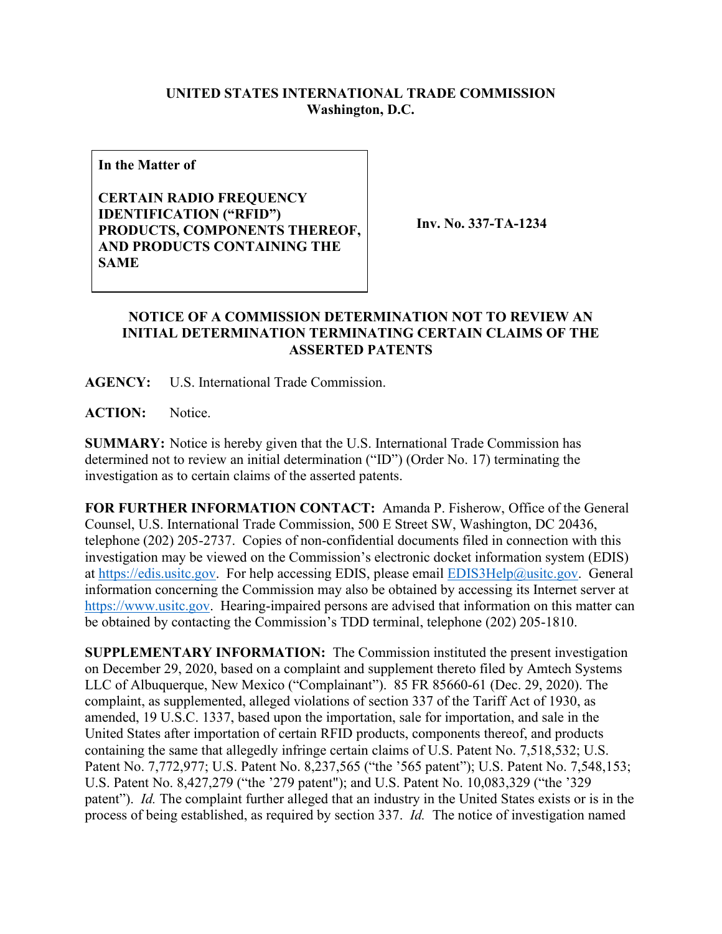## **UNITED STATES INTERNATIONAL TRADE COMMISSION Washington, D.C.**

**In the Matter of**

**CERTAIN RADIO FREQUENCY IDENTIFICATION ("RFID") PRODUCTS, COMPONENTS THEREOF, AND PRODUCTS CONTAINING THE SAME**

**Inv. No. 337-TA-1234**

## **NOTICE OF A COMMISSION DETERMINATION NOT TO REVIEW AN INITIAL DETERMINATION TERMINATING CERTAIN CLAIMS OF THE ASSERTED PATENTS**

**AGENCY:** U.S. International Trade Commission.

**ACTION:** Notice.

**SUMMARY:** Notice is hereby given that the U.S. International Trade Commission has determined not to review an initial determination ("ID") (Order No. 17) terminating the investigation as to certain claims of the asserted patents.

**FOR FURTHER INFORMATION CONTACT:** Amanda P. Fisherow, Office of the General Counsel, U.S. International Trade Commission, 500 E Street SW, Washington, DC 20436, telephone (202) 205-2737. Copies of non-confidential documents filed in connection with this investigation may be viewed on the Commission's electronic docket information system (EDIS) at [https://edis.usitc.gov.](https://edis.usitc.gov/) For help accessing EDIS, please email [EDIS3Help@usitc.gov.](mailto:EDIS3Help@usitc.gov) General information concerning the Commission may also be obtained by accessing its Internet server at [https://www.usitc.gov.](https://www.usitc.gov/) Hearing-impaired persons are advised that information on this matter can be obtained by contacting the Commission's TDD terminal, telephone (202) 205-1810.

**SUPPLEMENTARY INFORMATION:** The Commission instituted the present investigation on December 29, 2020, based on a complaint and supplement thereto filed by Amtech Systems LLC of Albuquerque, New Mexico ("Complainant"). 85 FR 85660-61 (Dec. 29, 2020). The complaint, as supplemented, alleged violations of section 337 of the Tariff Act of 1930, as amended, 19 U.S.C. 1337, based upon the importation, sale for importation, and sale in the United States after importation of certain RFID products, components thereof, and products containing the same that allegedly infringe certain claims of U.S. Patent No. 7,518,532; U.S. Patent No. 7,772,977; U.S. Patent No. 8,237,565 ("the '565 patent"); U.S. Patent No. 7,548,153; U.S. Patent No. 8,427,279 ("the '279 patent"); and U.S. Patent No. 10,083,329 ("the '329 patent"). *Id.* The complaint further alleged that an industry in the United States exists or is in the process of being established, as required by section 337. *Id.* The notice of investigation named